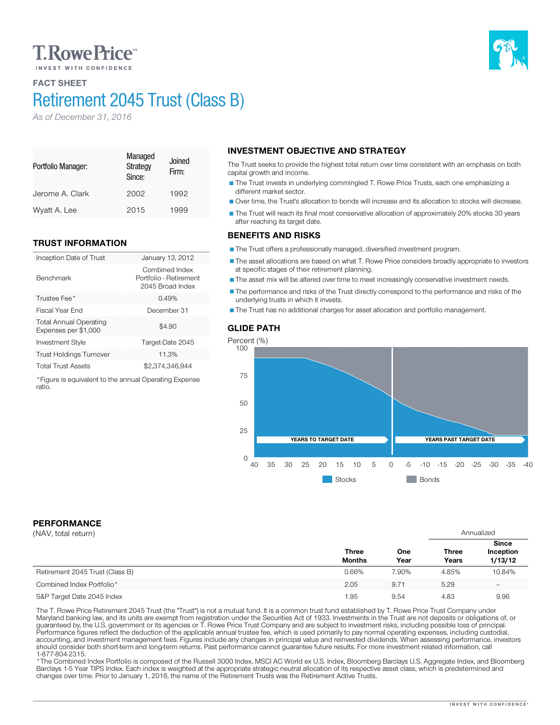# **T. Rowe Price**

## FACT SHEET

# Retirement 2045 Trust (Class B)

*As of December 31, 2016*

#### Portfolio Manager: Managed **Strategy** Since: Joined Firm: Jerome A. Clark 2002 1992 Wyatt A. Lee 2015 1999

### TRUST INFORMATION

| Inception Date of Trust                               | January 13, 2012                                             |
|-------------------------------------------------------|--------------------------------------------------------------|
| <b>Benchmark</b>                                      | Combined Index<br>Portfolio - Retirement<br>2045 Broad Index |
| Trustee Fee*                                          | 0.49%                                                        |
| Fiscal Year End                                       | December 31                                                  |
| <b>Total Annual Operating</b><br>Expenses per \$1,000 | \$4.90                                                       |
| <b>Investment Style</b>                               | Target-Date 2045                                             |
| <b>Trust Holdings Turnover</b>                        | 11.3%                                                        |
| <b>Total Trust Assets</b>                             | \$2.374.346.944                                              |

\*Figure is equivalent to the annual Operating Expense ratio.

# INVESTMENT OBJECTIVE AND STRATEGY

The Trust seeks to provide the highest total return over time consistent with an emphasis on both capital growth and income.

The Trust invests in underlying commingled T. Rowe Price Trusts, each one emphasizing a different market sector.

Over time, the Trust's allocation to bonds will increase and its allocation to stocks will decrease.

The Trust will reach its final most conservative allocation of approximately 20% stocks 30 years after reaching its target date.

#### BENEFITS AND RISKS

The Trust offers a professionally managed, diversified investment program.

The asset allocations are based on what T. Rowe Price considers broadly appropriate to investors at specific stages of their retirement planning.

The asset mix will be altered over time to meet increasingly conservative investment needs.

The performance and risks of the Trust directly correspond to the performance and risks of the underlying trusts in which it invests.

The Trust has no additional charges for asset allocation and portfolio management.



# PERFORMANCE

| (NAV, total return)             |                               |             | Annualized            |                                      |
|---------------------------------|-------------------------------|-------------|-----------------------|--------------------------------------|
|                                 | <b>Three</b><br><b>Months</b> | One<br>Year | <b>Three</b><br>Years | <b>Since</b><br>Inception<br>1/13/12 |
| Retirement 2045 Trust (Class B) | 0.66%                         | 7.90%       | 4.85%                 | 10.84%                               |
| Combined Index Portfolio*       | 2.05                          | 9.71        | 5.29                  | $\overline{\phantom{0}}$             |
| S&P Target Date 2045 Index      | 1.95                          | 9.54        | 4.83                  | 9.96                                 |

The T. Rowe Price Retirement 2045 Trust (the "Trust") is not a mutual fund. It is a common trust fund established by T. Rowe Price Trust Company under<br>Maryland banking law, and its units are exempt from registration under should consider both short-term and long-term returns. Past performance cannot guarantee future results. For more investment related information, call

\* The Combined Index Portfolio is composed of the Russell 3000 Index, MSCI AC World ex U.S. Index, Bloomberg Barclays U.S. Aggregate Index, and Bloomberg Barclays 1-5 Year TIPS Index. Each index is weighted at the appropriate strategic neutral allocation of its respective asset class, which is predetermined and changes over time. Prior to January 1, 2016, the name of the Retirement Trusts was the Retirement Active Trusts.

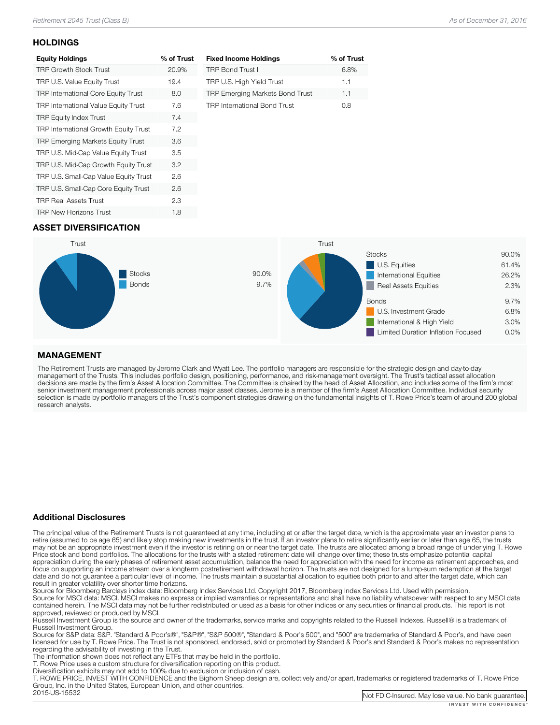#### **HOLDINGS**

| <b>Equity Holdings</b>                     | % of Trust |
|--------------------------------------------|------------|
| <b>TRP Growth Stock Trust</b>              | 20.9%      |
| TRP U.S. Value Equity Trust                | 19.4       |
| <b>TRP International Core Equity Trust</b> | 8.0        |
| TRP International Value Equity Trust       | 7.6        |
| <b>TRP Equity Index Trust</b>              | 7.4        |
| TRP International Growth Equity Trust      | 7.2        |
| <b>TRP Emerging Markets Equity Trust</b>   | 3.6        |
| TRP U.S. Mid-Cap Value Equity Trust        | 3.5        |
| TRP U.S. Mid-Cap Growth Equity Trust       | 3.2        |
| TRP U.S. Small-Cap Value Equity Trust      | 2.6        |
| TRP U.S. Small-Cap Core Equity Trust       | 2.6        |
| <b>TRP Real Assets Trust</b>               | 2.3        |
| <b>TRP New Horizons Trust</b>              | 1.8        |

| <b>Fixed Income Holdings</b>        | % of Trust |
|-------------------------------------|------------|
| <b>TRP Bond Trust I</b>             | 6.8%       |
| TRP U.S. High Yield Trust           | 1.1        |
| TRP Emerging Markets Bond Trust     | 1.1        |
| <b>TRP International Bond Trust</b> | nя         |

### ASSET DIVERSIFICATION



#### MANAGEMENT

The Retirement Trusts are managed by Jerome Clark and Wyatt Lee. The portfolio managers are responsible for the strategic design and day-to-day<br>management of the Trusts. This includes portfolio design, positioning, perform research analysts.

#### Additional Disclosures

The principal value of the Retirement Trusts is not guaranteed at any time, including at or after the target date, which is the approximate year an investor plans to retire (assumed to be age 65) and likely stop making new may not be an appropriate investment even if the investor is retiring on or near the target date. The trusts are allocated among a broad range of underlying T. Rowe<br>Price stock and bond portfolios. The allocations for the focus on supporting an income stream over a longterm postretirement withdrawal horizon. The trusts are not designed for a lump-sum redemption at the target date and do not guarantee a particular level of income. The trusts maintain a substantial allocation to equities both prior to and after the target date, which can result in greater volatility over shorter time horizons.

Source for Bloomberg Barclays index data: Bloomberg Index Services Ltd. Copyright 2017, Bloomberg Index Services Ltd. Used with permission.<br>Source for MSCI data: MSCI. MSCI makes no express or implied warranties or represe

approved, reviewed or produced by MSCI.<br>Russell Investment Group is the source and owner of the trademarks, service marks and copyrights related to the Russell Indexes. Russell® is a trademark of<br>Russell Investment Group.

Russell Investment Group. Source Group and Group", "Same Standard Group", "Standard Group", and "500" are trademarks of Standard & Poor's, and have been licensed for use by T. Rowe Price. The Trust is not sponsored, endorsed, sold or promoted by Standard & Poor's and Standard & Poor's makes no representation<br>regarding the advisability of investing in the Trust.

The information shown does not reflect any ETFs that may be held in the portfolio.<br>T. Rowe Price uses a custom structure for diversification reporting on this product.<br>Diversification exhibits may not add to 100% due to ex